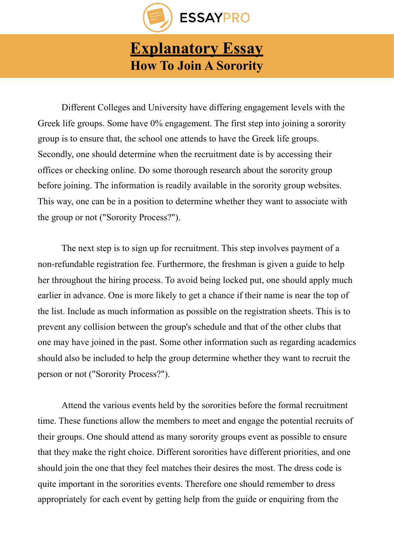

## **[Explanatory Essay](https://essaypro.com/blog/explanatory-essay/)  How To Join A Sorority**

Different Colleges and University have differing engagement levels with the Greek life groups. Some have 0% engagement. The first step into joining a sorority group is to ensure that, the school one attends to have the Greek life groups. Secondly, one should determine when the recruitment date is by accessing their offices or checking online. Do some thorough research about the sorority group before joining. The information is readily available in the sorority group websites. This way, one can be in a position to determine whether they want to associate with the group or not ("Sorority Process?").

The next step is to sign up for recruitment. This step involves payment of a non-refundable registration fee. Furthermore, the freshman is given a guide to help her throughout the hiring process. To avoid being locked put, one should apply much earlier in advance. One is more likely to get a chance if their name is near the top of the list. Include as much information as possible on the registration sheets. This is to prevent any collision between the group's schedule and that of the other clubs that one may have joined in the past. Some other information such as regarding academics should also be included to help the group determine whether they want to recruit the person or not ("Sorority Process?").

 Attend the various events held by the sororities before the formal recruitment time. These functions allow the members to meet and engage the potential recruits of their groups. One should attend as many sorority groups event as possible to ensure that they make the right choice. Different sororities have different priorities, and one should join the one that they feel matches their desires the most. The dress code is quite important in the sororities events. Therefore one should remember to dress appropriately for each event by getting help from the guide or enquiring from the